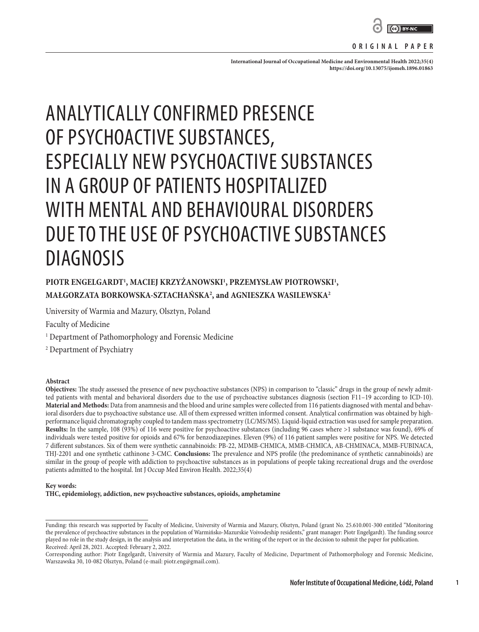

#### **ORIGINAL PAPER**

International Journal of Occupational Medicine and Environmental Health 2022;35(4): **<https://doi.org/10.13075/ijomeh.1896.01863>**

# ANALYTICALLY CONFIRMED PRESENCE OF PSYCHOACTIVE SUBSTANCES, ESPECIALLY NEW PSYCHOACTIVE SUBSTANCES IN A GROUP OF PATIENTS HOSPITALIZED WITH MENTAL AND BEHAVIOURAL DISORDERS DUE TO THE USE OF PSYCHOACTIVE SUBSTANCES DIAGNOSIS

# PIOTR ENGELGARDT<sup>1</sup>, MACIEJ KRZYŻANOWSKI<sup>1</sup>, PRZEMYSŁAW PIOTROWSKI<sup>1</sup>, **MAŁGORZATA BORKOWSKA-SZTACHAŃSKA2 , and AGNIESZKA WASILEWSKA2**

University of Warmia and Mazury, Olsztyn, Poland

Faculty of Medicine

<sup>1</sup> Department of Pathomorphology and Forensic Medicine

2 Department of Psychiatry

#### **Abstract**

**Objectives:** The study assessed the presence of new psychoactive substances (NPS) in comparison to "classic" drugs in the group of newly admitted patients with mental and behavioral disorders due to the use of psychoactive substances diagnosis (section F11–19 according to ICD-10). **Material and Methods:** Data from anamnesis and the blood and urine samples were collected from 116 patients diagnosed with mental and behavioral disorders due to psychoactive substance use. All of them expressed written informed consent. Analytical confirmation was obtained by highperformance liquid chromatography coupled to tandem mass spectrometry (LC/MS/MS). Liquid-liquid extraction was used for sample preparation. **Results:** In the sample, 108 (93%) of 116 were positive for psychoactive substances (including 96 cases where >1 substance was found), 69% of individuals were tested positive for opioids and 67% for benzodiazepines. Eleven (9%) of 116 patient samples were positive for NPS. We detected 7 different substances. Six of them were synthetic cannabinoids: PB-22, MDMB-CHMICA, MMB-CHMICA, AB-CHMINACA, MMB-FUBINACA, THJ-2201 and one synthetic cathinone 3-CMC. **Conclusions:** The prevalence and NPS profile (the predominance of synthetic cannabinoids) are similar in the group of people with addiction to psychoactive substances as in populations of people taking recreational drugs and the overdose patients admitted to the hospital. Int J Occup Med Environ Health. 2022;35(4)

#### **Key words:**

**THC, epidemiology, addiction, new psychoactive substances, opioids, amphetamine**

**1**

Funding: this research was supported by Faculty of Medicine, University of Warmia and Mazury, Olsztyn, Poland (grant No. 25.610.001-300 entitled "Monitoring the prevalence of psychoactive substances in the population of Warmińsko-Mazurskie Voivodeship residents," grant manager: Piotr Engelgardt). The funding source played no role in the study design, in the analysis and interpretation the data, in the writing of the report or in the decision to submit the paper for publication. Received: April 28, 2021. Accepted: February 2, 2022.

Corresponding author: Piotr Engelgardt, University of Warmia and Mazury, Faculty of Medicine, Department of Pathomorphology and Forensic Medicine, Warszawska 30, 10-082 Olsztyn, Poland (e-mail: piotr.eng@gmail.com).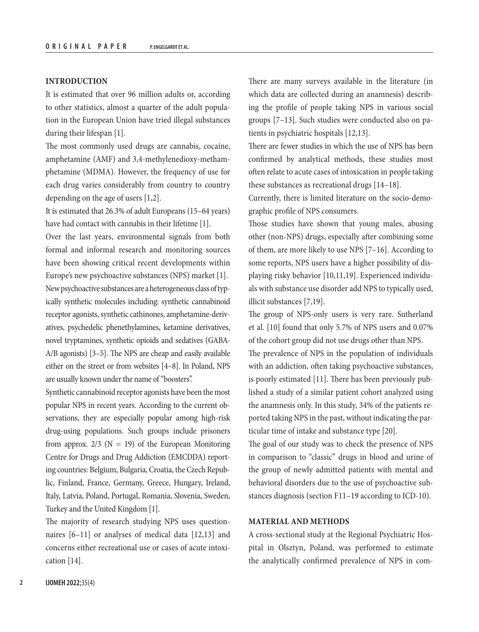# **INTRODUCTION**

It is estimated that over 96 million adults or, according to other statistics, almost a quarter of the adult population in the European Union have tried illegal substances during their lifespan [1].

The most commonly used drugs are cannabis, cocaine, amphetamine (AMF) and 3,4-methylenedioxy-methamphetamine (MDMA). However, the frequency of use for each drug varies considerably from country to country depending on the age of users [1,2].

It is estimated that 26.3% of adult Europeans (15–64 years) have had contact with cannabis in their lifetime [1].

Over the last years, environmental signals from both formal and informal research and monitoring sources have been showing critical recent developments within Europe's new psychoactive substances (NPS) market [1]. New psychoactive substances are a heterogeneous class of typically synthetic molecules including: synthetic cannabinoid receptor agonists, synthetic cathinones, amphetamine-derivatives, psychedelic phenethylamines, ketamine derivatives, novel tryptamines, synthetic opioids and sedatives (GABA-A/B agonists) [3–5]. The NPS are cheap and easily available either on the street or from websites [4–8]. In Poland, NPS are usually known under the name of "boosters".

Synthetic cannabinoid receptor agonists have been the most popular NPS in recent years. According to the current observations, they are especially popular among high-risk drug-using populations. Such groups include prisoners from approx.  $2/3$  (N = 19) of the European Monitoring Centre for Drugs and Drug Addiction (EMCDDA) reporting countries: Belgium, Bulgaria, Croatia, the Czech Republic, Finland, France, Germany, Greece, Hungary, Ireland, Italy, Latvia, Poland, Portugal, Romania, Slovenia, Sweden, Turkey and the United Kingdom [1].

The majority of research studying NPS uses questionnaires [6–11] or analyses of medical data [12,13] and concerns either recreational use or cases of acute intoxication [14].

There are many surveys available in the literature (in which data are collected during an anamnesis) describing the profile of people taking NPS in various social groups [7–13]. Such studies were conducted also on patients in psychiatric hospitals [12,13].

There are fewer studies in which the use of NPS has been confirmed by analytical methods, these studies most often relate to acute cases of intoxication in people taking these substances as recreational drugs [14–18].

Currently, there is limited literature on the socio-demographic profile of NPS consumers.

Those studies have shown that young males, abusing other (non-NPS) drugs, especially after combining some of them, are more likely to use NPS [7–16]. According to some reports, NPS users have a higher possibility of displaying risky behavior [10,11,19]. Experienced individuals with substance use disorder add NPS to typically used, illicit substances [7,19].

The group of NPS-only users is very rare. Sutherland et al. [10] found that only 5.7% of NPS users and 0.07% of the cohort group did not use drugs other than NPS.

The prevalence of NPS in the population of individuals with an addiction, often taking psychoactive substances, is poorly estimated [11]. There has been previously published a study of a similar patient cohort analyzed using the anamnesis only. In this study, 34% of the patients reported taking NPS in the past, without indicating the particular time of intake and substance type [20].

The goal of our study was to check the presence of NPS in comparison to "classic" drugs in blood and urine of the group of newly admitted patients with mental and behavioral disorders due to the use of psychoactive substances diagnosis (section F11–19 according to ICD-10).

## **MATERIAL AND METHODS**

A cross-sectional study at the Regional Psychiatric Hospital in Olsztyn, Poland, was performed to estimate the analytically confirmed prevalence of NPS in com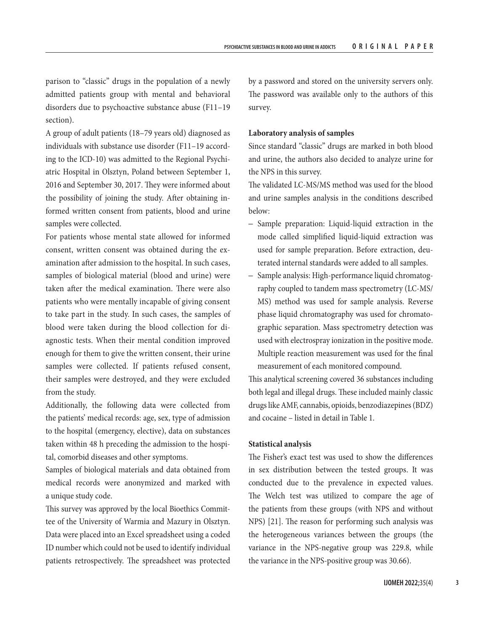parison to "classic" drugs in the population of a newly admitted patients group with mental and behavioral disorders due to psychoactive substance abuse (F11–19 section).

A group of adult patients (18–79 years old) diagnosed as individuals with substance use disorder (F11–19 according to the ICD-10) was admitted to the Regional Psychiatric Hospital in Olsztyn, Poland between September 1, 2016 and September 30, 2017. They were informed about the possibility of joining the study. After obtaining informed written consent from patients, blood and urine samples were collected.

For patients whose mental state allowed for informed consent, written consent was obtained during the examination after admission to the hospital. In such cases, samples of biological material (blood and urine) were taken after the medical examination. There were also patients who were mentally incapable of giving consent to take part in the study. In such cases, the samples of blood were taken during the blood collection for diagnostic tests. When their mental condition improved enough for them to give the written consent, their urine samples were collected. If patients refused consent, their samples were destroyed, and they were excluded from the study.

Additionally, the following data were collected from the patients' medical records: age, sex, type of admission to the hospital (emergency, elective), data on substances taken within 48 h preceding the admission to the hospital, comorbid diseases and other symptoms.

Samples of biological materials and data obtained from medical records were anonymized and marked with a unique study code.

This survey was approved by the local Bioethics Committee of the University of Warmia and Mazury in Olsztyn. Data were placed into an Excel spreadsheet using a coded ID number which could not be used to identify individual patients retrospectively. The spreadsheet was protected by a password and stored on the university servers only. The password was available only to the authors of this survey.

#### **Laboratory analysis of samples**

Since standard "classic" drugs are marked in both blood and urine, the authors also decided to analyze urine for the NPS in this survey.

The validated LC-MS/MS method was used for the blood and urine samples analysis in the conditions described below:

- Sample preparation: Liquid-liquid extraction in the mode called simplified liquid-liquid extraction was used for sample preparation. Before extraction, deuterated internal standards were added to all samples.
- Sample analysis: High-performance liquid chromatography coupled to tandem mass spectrometry (LC-MS/ MS) method was used for sample analysis. Reverse phase liquid chromatography was used for chromatographic separation. Mass spectrometry detection was used with electrospray ionization in the positive mode. Multiple reaction measurement was used for the final measurement of each monitored compound.

This analytical screening covered 36 substances including both legal and illegal drugs. These included mainly classic drugs like AMF, cannabis, opioids, benzodiazepines (BDZ) and cocaine – listed in detail in Table 1.

### **Statistical analysis**

The Fisher's exact test was used to show the differences in sex distribution between the tested groups. It was conducted due to the prevalence in expected values. The Welch test was utilized to compare the age of the patients from these groups (with NPS and without NPS) [21]. The reason for performing such analysis was the heterogeneous variances between the groups (the variance in the NPS-negative group was 229.8, while the variance in the NPS-positive group was 30.66).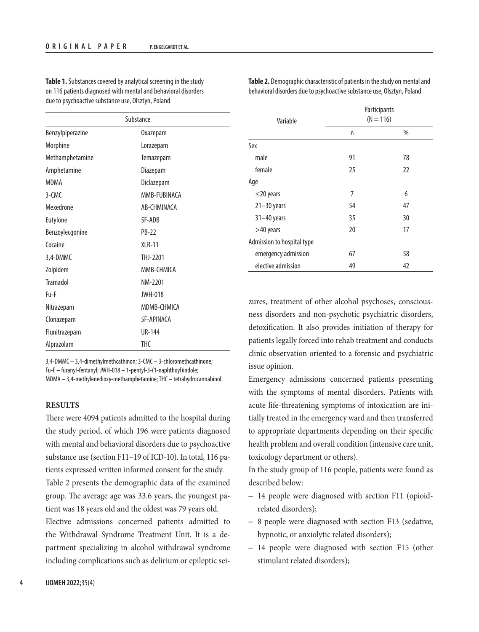| Substance        |                   |  |  |
|------------------|-------------------|--|--|
| Benzylpiperazine | 0xazepam          |  |  |
| Morphine         | Lorazepam         |  |  |
| Methamphetamine  | Temazepam         |  |  |
| Amphetamine      | Diazepam          |  |  |
| <b>MDMA</b>      | Diclazepam        |  |  |
| 3-CMC            | MMB-FUBINACA      |  |  |
| Mexedrone        | AB-CHMINACA       |  |  |
| Eutylone         | 5F-ADB            |  |  |
| Benzoylecgonine  | <b>PB-22</b>      |  |  |
| Cocaine          | <b>XLR-11</b>     |  |  |
| 3,4-DMMC         | THJ-2201          |  |  |
| Zolpidem         | MMB-CHMICA        |  |  |
| <b>Tramadol</b>  | NM-2201           |  |  |
| Fu-F             | <b>JWH-018</b>    |  |  |
| Nitrazepam       | MDMB-CHMICA       |  |  |
| Clonazepam       | <b>5F-APINACA</b> |  |  |
| Flunitrazepam    | <b>UR-144</b>     |  |  |
| Alprazolam       | <b>THC</b>        |  |  |

**Table 1.** Substances covered by analytical screening in the study on 116 patients diagnosed with mental and behavioral disorders due to psychoactive substance use, Olsztyn, Poland

3,4-DMMC – 3,4-dimethylmethcathinon; 3-CMC – 3-chloromethcathinone; Fu-F – furanyl-fentanyl; JWH-018 – 1-pentyl-3-(1-naphthoyl)indole; MDMA – 3,4-methylenedioxy-methamphetamine; THC – tetrahydrocannabinol.

#### **RESULTS**

There were 4094 patients admitted to the hospital during the study period, of which 196 were patients diagnosed with mental and behavioral disorders due to psychoactive substance use (section F11–19 of ICD-10). In total, 116 patients expressed written informed consent for the study. Table 2 presents the demographic data of the examined group. The average age was 33.6 years, the youngest patient was 18 years old and the oldest was 79 years old. Elective admissions concerned patients admitted to the Withdrawal Syndrome Treatment Unit. It is a department specializing in alcohol withdrawal syndrome including complications such as delirium or epileptic sei-

| Variable                   | Participants<br>$(N = 116)$ |      |  |
|----------------------------|-----------------------------|------|--|
|                            | n                           | $\%$ |  |
| Sex                        |                             |      |  |
| male                       | 91                          | 78   |  |
| female                     | 25                          | 22   |  |
| Age                        |                             |      |  |
| $\leq$ 20 years            | 7                           | 6    |  |
| $21 - 30$ years            | 54                          | 47   |  |
| $31 - 40$ years            | 35                          | 30   |  |
| >40 years                  | 20                          | 17   |  |
| Admission to hospital type |                             |      |  |
| emergency admission        | 67                          | 58   |  |
| elective admission         | 49                          | 42   |  |

**Table 2.** Demographic characteristic of patients in the study on mental and behavioral disorders due to psychoactive substance use, Olsztyn, Poland

zures, treatment of other alcohol psychoses, consciousness disorders and non-psychotic psychiatric disorders, detoxification. It also provides initiation of therapy for patients legally forced into rehab treatment and conducts clinic observation oriented to a forensic and psychiatric issue opinion.

Emergency admissions concerned patients presenting with the symptoms of mental disorders. Patients with acute life-threatening symptoms of intoxication are initially treated in the emergency ward and then transferred to appropriate departments depending on their specific health problem and overall condition (intensive care unit, toxicology department or others).

In the study group of 116 people, patients were found as described below:

- 14 people were diagnosed with section F11 (opioidrelated disorders);
- 8 people were diagnosed with section F13 (sedative, hypnotic, or anxiolytic related disorders);
- 14 people were diagnosed with section F15 (other stimulant related disorders);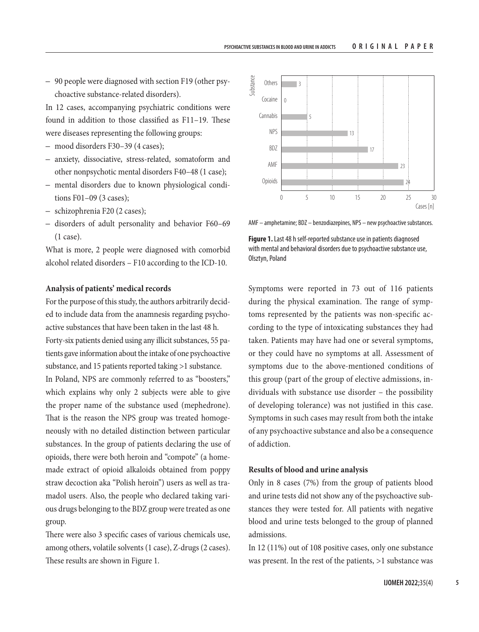#### PSYCHOACTIVE SUBSTANCES IN BLOOD AND URINE IN ADDICTS **ORIGINAL PAPER**

– 90 people were diagnosed with section F19 (other psychoactive substance-related disorders).

In 12 cases, accompanying psychiatric conditions were found in addition to those classified as F11–19. These were diseases representing the following groups:

- mood disorders F30–39 (4 cases);
- anxiety, dissociative, stress-related, somatoform and other nonpsychotic mental disorders F40–48 (1 case);
- mental disorders due to known physiological conditions F01–09 (3 cases);
- schizophrenia F20 (2 cases);
- disorders of adult personality and behavior F60–69 (1 case).

What is more, 2 people were diagnosed with comorbid alcohol related disorders – F10 according to the ICD-10.

# **Analysis of patients' medical records**

For the purpose of this study, the authors arbitrarily decided to include data from the anamnesis regarding psychoactive substances that have been taken in the last 48 h. Forty-six patients denied using any illicit substances, 55 patients gave information about the intake of one psychoactive substance, and 15 patients reported taking >1 substance. In Poland, NPS are commonly referred to as "boosters," which explains why only 2 subjects were able to give the proper name of the substance used (mephedrone). That is the reason the NPS group was treated homogeneously with no detailed distinction between particular substances. In the group of patients declaring the use of opioids, there were both heroin and "compote" (a homemade extract of opioid alkaloids obtained from poppy straw decoction aka "Polish heroin") users as well as tramadol users. Also, the people who declared taking various drugs belonging to the BDZ group were treated as one group.

There were also 3 specific cases of various chemicals use, among others, volatile solvents (1 case), Z-drugs (2 cases). These results are shown in Figure 1.



AMF – amphetamine; BDZ – benzodiazepines, NPS – new psychoactive substances.

**Figure 1.** Last 48 h self-reported substance use in patients diagnosed with mental and behavioral disorders due to psychoactive substance use, Olsztyn, Poland

Symptoms were reported in 73 out of 116 patients during the physical examination. The range of symptoms represented by the patients was non-specific according to the type of intoxicating substances they had taken. Patients may have had one or several symptoms, or they could have no symptoms at all. Assessment of symptoms due to the above-mentioned conditions of this group (part of the group of elective admissions, individuals with substance use disorder – the possibility of developing tolerance) was not justified in this case. Symptoms in such cases may result from both the intake of any psychoactive substance and also be a consequence of addiction.

#### **Results of blood and urine analysis**

Only in 8 cases (7%) from the group of patients blood and urine tests did not show any of the psychoactive substances they were tested for. All patients with negative blood and urine tests belonged to the group of planned admissions.

In 12 (11%) out of 108 positive cases, only one substance was present. In the rest of the patients, >1 substance was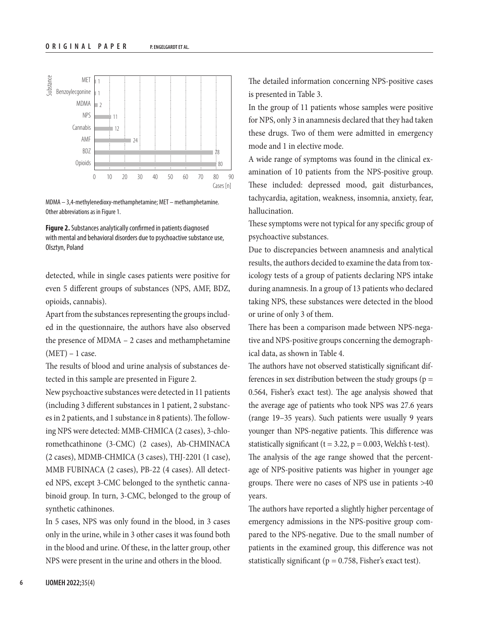

MDMA – 3,4-methylenedioxy-methamphetamine; MET – methamphetamine. Other abbreviations as in Figure 1.



detected, while in single cases patients were positive for even 5 different groups of substances (NPS, AMF, BDZ, opioids, cannabis).

Apart from the substances representing the groups included in the questionnaire, the authors have also observed the presence of MDMA – 2 cases and methamphetamine  $(MET) - 1$  case.

The results of blood and urine analysis of substances detected in this sample are presented in Figure 2.

New psychoactive substances were detected in 11 patients (including 3 different substances in 1 patient, 2 substances in 2 patients, and 1 substance in 8 patients). The following NPS were detected: MMB-CHMICA (2 cases), 3-chloromethcathinone (3-CMC) (2 cases), Ab-CHMINACA (2 cases), MDMB-CHMICA (3 cases), THJ-2201 (1 case), MMB FUBINACA (2 cases), PB-22 (4 cases). All detected NPS, except 3-CMC belonged to the synthetic cannabinoid group. In turn, 3-CMC, belonged to the group of synthetic cathinones.

In 5 cases, NPS was only found in the blood, in 3 cases only in the urine, while in 3 other cases it was found both in the blood and urine. Of these, in the latter group, other NPS were present in the urine and others in the blood.

The detailed information concerning NPS-positive cases is presented in Table 3.

In the group of 11 patients whose samples were positive for NPS, only 3 in anamnesis declared that they had taken these drugs. Two of them were admitted in emergency mode and 1 in elective mode.

A wide range of symptoms was found in the clinical examination of 10 patients from the NPS-positive group. These included: depressed mood, gait disturbances, tachycardia, agitation, weakness, insomnia, anxiety, fear, hallucination.

These symptoms were not typical for any specific group of psychoactive substances.

Due to discrepancies between anamnesis and analytical results, the authors decided to examine the data from toxicology tests of a group of patients declaring NPS intake during anamnesis. In a group of 13 patients who declared taking NPS, these substances were detected in the blood or urine of only 3 of them.

There has been a comparison made between NPS-negative and NPS-positive groups concerning the demographical data, as shown in Table 4.

The authors have not observed statistically significant differences in sex distribution between the study groups ( $p =$ 0.564, Fisher's exact test). The age analysis showed that the average age of patients who took NPS was 27.6 years (range 19–35 years). Such patients were usually 9 years younger than NPS-negative patients. This difference was statistically significant ( $t = 3.22$ ,  $p = 0.003$ , Welch's t-test). The analysis of the age range showed that the percent-

age of NPS-positive patients was higher in younger age groups. There were no cases of NPS use in patients >40 years.

The authors have reported a slightly higher percentage of emergency admissions in the NPS-positive group compared to the NPS-negative. Due to the small number of patients in the examined group, this difference was not statistically significant ( $p = 0.758$ , Fisher's exact test).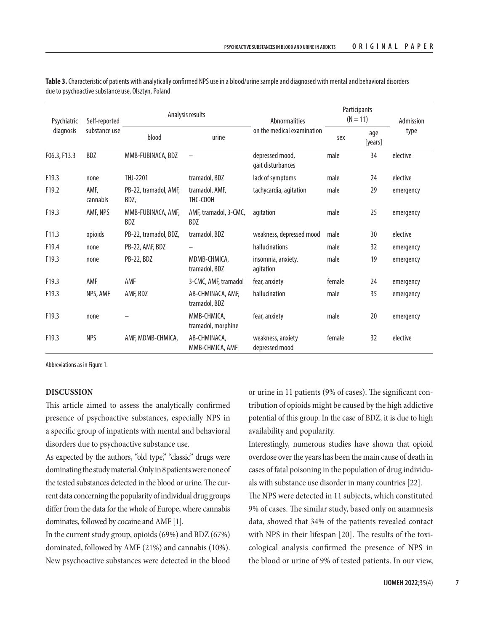| Psychiatric<br>diagnosis | Self-reported    | Analysis results              |                                    | <b>Abnormalities</b>                 | Participants<br>$(N = 11)$ |                | Admission |
|--------------------------|------------------|-------------------------------|------------------------------------|--------------------------------------|----------------------------|----------------|-----------|
|                          | substance use    | blood                         | urine                              | on the medical examination           | sex                        | age<br>[years] | type      |
| F06.3, F13.3             | BDZ              | MMB-FUBINACA, BDZ             |                                    | depressed mood,<br>gait disturbances | male                       | 34             | elective  |
| F <sub>19.3</sub>        | none             | THJ-2201                      | tramadol, BDZ                      | lack of symptoms                     | male                       | 24             | elective  |
| F <sub>19.2</sub>        | AMF,<br>cannabis | PB-22, tramadol, AMF,<br>BDZ, | tramadol, AMF,<br>THC-COOH         | tachycardia, agitation               | male                       | 29             | emergency |
| F <sub>19.3</sub>        | AMF, NPS         | MMB-FUBINACA, AMF,<br>BDZ     | AMF, tramadol, 3-CMC,<br>BDZ       | agitation                            | male                       | 25             | emergency |
| F11.3                    | opioids          | PB-22, tramadol, BDZ,         | tramadol, BDZ                      | weakness, depressed mood             | male                       | 30             | elective  |
| F19.4                    | none             | PB-22, AMF, BDZ               |                                    | hallucinations                       | male                       | 32             | emergency |
| F <sub>19.3</sub>        | none             | PB-22, BDZ                    | MDMB-CHMICA,<br>tramadol, BDZ      | insomnia, anxiety,<br>agitation      | male                       | 19             | emergency |
| F <sub>19.3</sub>        | AMF              | AMF                           | 3-CMC, AMF, tramadol               | fear, anxiety                        | female                     | 24             | emergency |
| F <sub>19.3</sub>        | NPS, AMF         | AMF, BDZ                      | AB-CHMINACA, AMF,<br>tramadol, BDZ | hallucination                        | male                       | 35             | emergency |
| F19.3                    | none             |                               | MMB-CHMICA,<br>tramadol, morphine  | fear, anxiety                        | male                       | 20             | emergency |
| F19.3                    | <b>NPS</b>       | AMF, MDMB-CHMICA,             | AB-CHMINACA,<br>MMB-CHMICA, AMF    | weakness, anxiety<br>depressed mood  | female                     | 32             | elective  |

**Table 3.** Characteristic of patients with analytically confirmed NPS use in a blood/urine sample and diagnosed with mental and behavioral disorders due to psychoactive substance use, Olsztyn, Poland

Abbreviations as in Figure 1.

# **DISCUSSION**

This article aimed to assess the analytically confirmed presence of psychoactive substances, especially NPS in a specific group of inpatients with mental and behavioral disorders due to psychoactive substance use.

As expected by the authors, "old type," "classic" drugs were dominating the study material. Only in 8 patients were none of the tested substances detected in the blood or urine. The current data concerning the popularity of individual drug groups differ from the data for the whole of Europe, where cannabis dominates, followed by cocaine and AMF [1].

In the current study group, opioids (69%) and BDZ (67%) dominated, followed by AMF (21%) and cannabis (10%). New psychoactive substances were detected in the blood

or urine in 11 patients (9% of cases). The significant contribution of opioids might be caused by the high addictive potential of this group. In the case of BDZ, it is due to high availability and popularity.

Interestingly, numerous studies have shown that opioid overdose over the years has been the main cause of death in cases of fatal poisoning in the population of drug individuals with substance use disorder in many countries [22].

The NPS were detected in 11 subjects, which constituted 9% of cases. The similar study, based only on anamnesis data, showed that 34% of the patients revealed contact with NPS in their lifespan [20]. The results of the toxicological analysis confirmed the presence of NPS in the blood or urine of 9% of tested patients. In our view,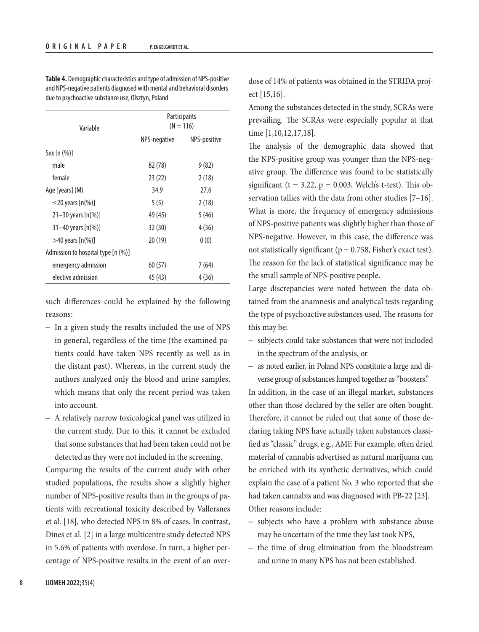| Variable                           | Participants<br>$(N = 116)$ |              |  |  |
|------------------------------------|-----------------------------|--------------|--|--|
|                                    | NPS-negative                | NPS-positive |  |  |
| Sex [n (%)]                        |                             |              |  |  |
| male                               | 82 (78)                     | 9(82)        |  |  |
| female                             | 23 (22)                     | 2(18)        |  |  |
| Age [years] (M)                    | 34.9                        | 27.6         |  |  |
| $\leq$ 20 years [n(%)]             | 5(5)                        | 2(18)        |  |  |
| $21 - 30$ years $[n(\%)]$          | 49 (45)                     | 5(46)        |  |  |
| $31 - 40$ years $[n(\%)]$          | 32(30)                      | 4(36)        |  |  |
| $>$ 40 years [n(%)]                | 20(19)                      | 0(0)         |  |  |
| Admission to hospital type [n (%)] |                             |              |  |  |
| emergency admission                | 60 (57)                     | 7 (64)       |  |  |
| elective admission                 | 45 (43)                     | 4 (36)       |  |  |

**Table 4.** Demographic characteristics and type of admission of NPS-positive and NPS-negative patients diagnosed with mental and behavioral disorders due to psychoactive substance use, Olsztyn, Poland

such differences could be explained by the following reasons:

- In a given study the results included the use of NPS in general, regardless of the time (the examined patients could have taken NPS recently as well as in the distant past). Whereas, in the current study the authors analyzed only the blood and urine samples, which means that only the recent period was taken into account.
- A relatively narrow toxicological panel was utilized in the current study. Due to this, it cannot be excluded that some substances that had been taken could not be detected as they were not included in the screening.

Comparing the results of the current study with other studied populations, the results show a slightly higher number of NPS-positive results than in the groups of patients with recreational toxicity described by Vallersnes et al. [18], who detected NPS in 8% of cases. In contrast, Dines et al. [2] in a large multicentre study detected NPS in 5.6% of patients with overdose. In turn, a higher percentage of NPS-positive results in the event of an overdose of 14% of patients was obtained in the STRIDA project [15,16].

Among the substances detected in the study, SCRAs were prevailing. The SCRAs were especially popular at that time [1,10,12,17,18].

The analysis of the demographic data showed that the NPS-positive group was younger than the NPS-negative group. The difference was found to be statistically significant ( $t = 3.22$ ,  $p = 0.003$ , Welch's t-test). This observation tallies with the data from other studies [7–16]. What is more, the frequency of emergency admissions of NPS-positive patients was slightly higher than those of NPS-negative. However, in this case, the difference was not statistically significant ( $p = 0.758$ , Fisher's exact test). The reason for the lack of statistical significance may be the small sample of NPS-positive people.

Large discrepancies were noted between the data obtained from the anamnesis and analytical tests regarding the type of psychoactive substances used. The reasons for this may be:

- subjects could take substances that were not included in the spectrum of the analysis, or
- as noted earlier, in Poland NPS constitute a large and diverse group of substances lumped together as "boosters."

In addition, in the case of an illegal market, substances other than those declared by the seller are often bought. Therefore, it cannot be ruled out that some of those declaring taking NPS have actually taken substances classified as "classic" drugs, e.g., AMF. For example, often dried material of cannabis advertised as natural marijuana can be enriched with its synthetic derivatives, which could explain the case of a patient No. 3 who reported that she had taken cannabis and was diagnosed with PB-22 [23]. Other reasons include:

- subjects who have a problem with substance abuse may be uncertain of the time they last took NPS,
- the time of drug elimination from the bloodstream and urine in many NPS has not been established.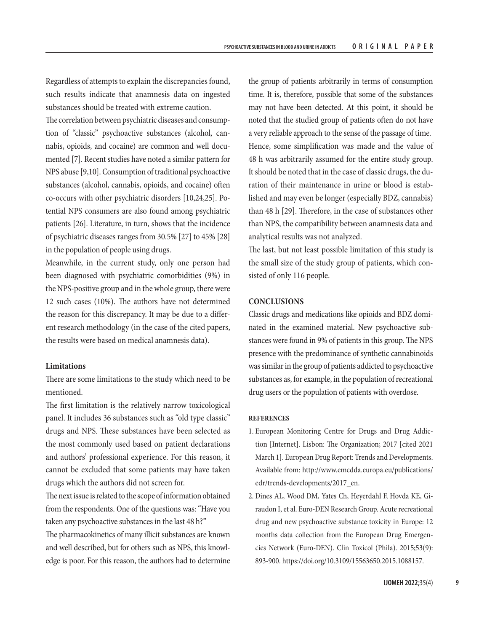Regardless of attempts to explain the discrepancies found, such results indicate that anamnesis data on ingested substances should be treated with extreme caution.

The correlation between psychiatric diseases and consumption of "classic" psychoactive substances (alcohol, cannabis, opioids, and cocaine) are common and well documented [7]. Recent studies have noted a similar pattern for NPS abuse [9,10]. Consumption of traditional psychoactive substances (alcohol, cannabis, opioids, and cocaine) often co-occurs with other psychiatric disorders [10,24,25]. Potential NPS consumers are also found among psychiatric patients [26]. Literature, in turn, shows that the incidence of psychiatric diseases ranges from 30.5% [27] to 45% [28] in the population of people using drugs.

Meanwhile, in the current study, only one person had been diagnosed with psychiatric comorbidities (9%) in the NPS-positive group and in the whole group, there were 12 such cases (10%). The authors have not determined the reason for this discrepancy. It may be due to a different research methodology (in the case of the cited papers, the results were based on medical anamnesis data).

# **Limitations**

There are some limitations to the study which need to be mentioned.

The first limitation is the relatively narrow toxicological panel. It includes 36 substances such as "old type classic" drugs and NPS. These substances have been selected as the most commonly used based on patient declarations and authors' professional experience. For this reason, it cannot be excluded that some patients may have taken drugs which the authors did not screen for.

The next issue is related to the scope of information obtained from the respondents. One of the questions was: "Have you taken any psychoactive substances in the last 48 h?"

The pharmacokinetics of many illicit substances are known and well described, but for others such as NPS, this knowledge is poor. For this reason, the authors had to determine

the group of patients arbitrarily in terms of consumption time. It is, therefore, possible that some of the substances may not have been detected. At this point, it should be noted that the studied group of patients often do not have a very reliable approach to the sense of the passage of time. Hence, some simplification was made and the value of 48 h was arbitrarily assumed for the entire study group. It should be noted that in the case of classic drugs, the duration of their maintenance in urine or blood is established and may even be longer (especially BDZ, cannabis) than 48 h [29]. Therefore, in the case of substances other than NPS, the compatibility between anamnesis data and analytical results was not analyzed.

The last, but not least possible limitation of this study is the small size of the study group of patients, which consisted of only 116 people.

# **CONCLUSIONS**

Classic drugs and medications like opioids and BDZ dominated in the examined material. New psychoactive substances were found in 9% of patients in this group. The NPS presence with the predominance of synthetic cannabinoids was similar in the group of patients addicted to psychoactive substances as, for example, in the population of recreational drug users or the population of patients with overdose.

#### **REFERENCES**

- 1. European Monitoring Centre for Drugs and Drug Addiction [Internet]. Lisbon: The Organization; 2017 [cited 2021 March 1]. European Drug Report: Trends and Developments. Available from: [http://www.emcdda.europa.eu/publications/](http://www.emcdda.europa.eu/publications/edr/trends-developments/2017_en) [edr/trends-developments/2017\\_en](http://www.emcdda.europa.eu/publications/edr/trends-developments/2017_en).
- 2. Dines AL, Wood DM, Yates Ch, Heyerdahl F, Hovda KE, Giraudon I, et al. Euro-DEN Research Group. Acute recreational drug and new psychoactive substance toxicity in Europe: 12 months data collection from the European Drug Emergencies Network (Euro-DEN). Clin Toxicol (Phila). 2015;53(9): 893-900.<https://doi.org/10.3109/15563650.2015.1088157>.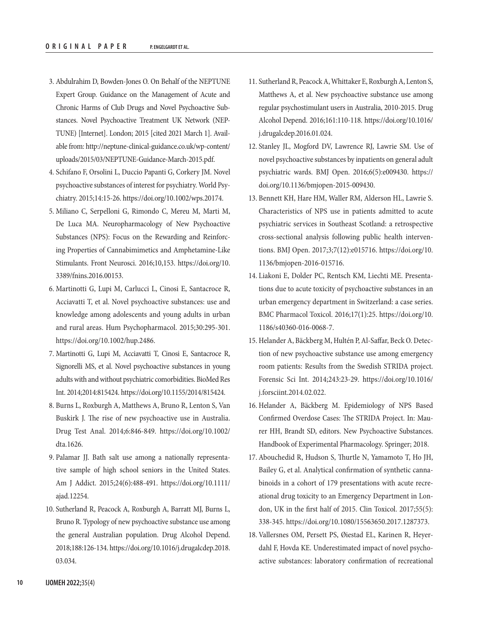- 3. Abdulrahim D, Bowden-Jones O. On Behalf of the NEPTUNE Expert Group. Guidance on the Management of Acute and Chronic Harms of Club Drugs and Novel Psychoactive Substances. Novel Psychoactive Treatment UK Network (NEP-TUNE) [Internet]. London; 2015 [cited 2021 March 1]. Available from: [http://neptune-clinical-guidance.co.uk/wp-content/](http://neptune-clinical-guidance.co.uk/wp-content/uploads/2015/03/NEPTUNE-Guidance-March-2015.pdf) [uploads/2015/03/NEPTUNE-Guidance-March-2015.pdf](http://neptune-clinical-guidance.co.uk/wp-content/uploads/2015/03/NEPTUNE-Guidance-March-2015.pdf).
- 4. Schifano F, Orsolini L, Duccio Papanti G, Corkery JM. Novel psychoactive substances of interest for psychiatry. World Psychiatry. 2015;14:15-26. [https://doi.org/10.1002/wps.20174.](https://doi.org/10.1002/wps.20174)
- 5. Miliano C, Serpelloni G, Rimondo C, Mereu M, Marti M, De Luca MA. Neuropharmacology of New Psychoactive Substances (NPS): Focus on the Rewarding and Reinforcing Properties of Cannabimimetics and Amphetamine-Like Stimulants. Front Neurosci. 2016;10,153. [https://doi.org/10.](https://doi.org/10.3389/fnins.2016.00153) [3389/fnins.2016.00153](https://doi.org/10.3389/fnins.2016.00153).
- 6. Martinotti G, Lupi M, Carlucci L, Cinosi E, Santacroce R, Acciavatti T, et al. Novel psychoactive substances: use and knowledge among adolescents and young adults in urban and rural areas. Hum Psychopharmacol. 2015;30:295-301. [https://doi.org/10.1002/hup.2486.](https://doi.org/10.1002/hup.2486)
- 7. Martinotti G, Lupi M, Acciavatti T, Cinosi E, Santacroce R, Signorelli MS, et al. Novel psychoactive substances in young adults with and without psychiatric comorbidities. BioMed Res Int. 2014;2014:815424.<https://doi.org/10.1155/2014/815424>.
- 8. Burns L, Roxburgh A, Matthews A, Bruno R, Lenton S, Van Buskirk J. The rise of new psychoactive use in Australia. Drug Test Anal. 2014;6:846-849. [https://doi.org/10.1002/](https://doi.org/10.1002/dta.1626) [dta.1626](https://doi.org/10.1002/dta.1626).
- 9. Palamar JJ. Bath salt use among a nationally representative sample of high school seniors in the United States. Am J Addict. 2015;24(6):488-491. [https://doi.org/10.1111/](https://doi.org/10.1111/ajad.12254) [ajad.12254](https://doi.org/10.1111/ajad.12254).
- 10. Sutherland R, Peacock A, Roxburgh A, Barratt MJ, Burns L, Bruno R. Typology of new psychoactive substance use among the general Australian population. Drug Alcohol Depend. 2018;188:126-134. [https://doi.org/10.1016/j.drugalcdep.2018.](https://doi.org/10.1016/j.drugalcdep.2018.03.034) [03.034](https://doi.org/10.1016/j.drugalcdep.2018.03.034).
- 11. Sutherland R, Peacock A, Whittaker E, Roxburgh A, Lenton S, Matthews A, et al. New psychoactive substance use among regular psychostimulant users in Australia, 2010-2015. Drug Alcohol Depend. 2016;161:110-118. [https://doi.org/10.1016/](https://doi.org/10.1016/j.drugalcdep.2016.01.024) [j.drugalcdep.2016.01.024](https://doi.org/10.1016/j.drugalcdep.2016.01.024).
- 12. Stanley JL, Mogford DV, Lawrence RJ, Lawrie SM. Use of novel psychoactive substances by inpatients on general adult psychiatric wards. BMJ Open. 2016;6(5):e009430. [https://](https://doi.org/10.1136/bmjopen-2015-009430) [doi.org/10.1136/bmjopen-2015-009430](https://doi.org/10.1136/bmjopen-2015-009430).
- 13. Bennett KH, Hare HM, Waller RM, Alderson HL, Lawrie S. Characteristics of NPS use in patients admitted to acute psychiatric services in Southeast Scotland: a retrospective cross-sectional analysis following public health interventions. BMJ Open. 2017;3;7(12):e015716. [https://doi.org/10.](https://doi.org/10.1136/bmjopen-2016-015716) [1136/bmjopen-2016-015716.](https://doi.org/10.1136/bmjopen-2016-015716)
- 14. Liakoni E, Dolder PC, Rentsch KM, Liechti ME. Presentations due to acute toxicity of psychoactive substances in an urban emergency department in Switzerland: a case series. BMC Pharmacol Toxicol. 2016;17(1):25. [https://doi.org/10.](https://doi.org/10.1186/s40360-016-0068-7) [1186/s40360-016-0068-7](https://doi.org/10.1186/s40360-016-0068-7).
- 15. Helander A, Bäckberg M, Hultén P, Al-Saffar, Beck O. Detection of new psychoactive substance use among emergency room patients: Results from the Swedish STRIDA project. Forensic Sci Int. 2014;243:23-29. [https://doi.org/10.1016/](https://doi.org/10.1016/j.forsciint.2014.02.022) [j.forsciint.2014.02.022](https://doi.org/10.1016/j.forsciint.2014.02.022).
- 16. Helander A, Bäckberg M. Epidemiology of NPS Based Confirmed Overdose Cases: The STRIDA Project. In: Maurer HH, Brandt SD, editors. New Psychoactive Substances. Handbook of Experimental Pharmacology. Springer; 2018.
- 17. Abouchedid R, Hudson S, Thurtle N, Yamamoto T, Ho JH, Bailey G, et al. Analytical confirmation of synthetic cannabinoids in a cohort of 179 presentations with acute recreational drug toxicity to an Emergency Department in London, UK in the first half of 2015. Clin Toxicol. 2017;55(5): 338-345. <https://doi.org/10.1080/15563650.2017.1287373>.
- 18. Vallersnes OM, Persett PS, Øiestad EL, Karinen R, Heyerdahl F, Hovda KE. Underestimated impact of novel psychoactive substances: laboratory confirmation of recreational